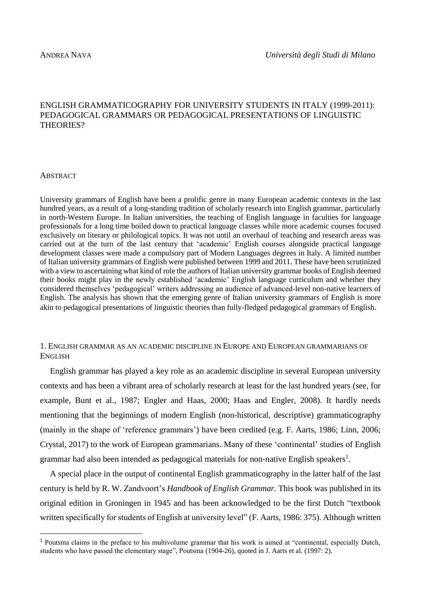# ENGLISH GRAMMATICOGRAPHY FOR UNIVERSITY STUDENTS IN ITALY (1999-2011): PEDAGOGICAL GRAMMARS OR PEDAGOGICAL PRESENTATIONS OF LINGUISTIC THEORIES?

### **ABSTRACT**

1

University grammars of English have been a prolific genre in many European academic contexts in the last hundred years, as a result of a long-standing tradition of scholarly research into English grammar, particularly in north-Western Europe. In Italian universities, the teaching of English language in faculties for language professionals for a long time boiled down to practical language classes while more academic courses focused exclusively on literary or philological topics. It was not until an overhaul of teaching and research areas was carried out at the turn of the last century that 'academic' English courses alongside practical language development classes were made a compulsory part of Modern Languages degrees in Italy. A limited number of Italian university grammars of English were published between 1999 and 2011. These have been scrutinized with a view to ascertaining what kind of role the authors of Italian university grammar books of English deemed their books might play in the newly established 'academic' English language curriculum and whether they considered themselves 'pedagogical' writers addressing an audience of advanced-level non-native learners of English. The analysis has shown that the emerging genre of Italian university grammars of English is more akin to pedagogical presentations of linguistic theories than fully-fledged pedagogical grammars of English.

# 1. ENGLISH GRAMMAR AS AN ACADEMIC DISCIPLINE IN EUROPE AND EUROPEAN GRAMMARIANS OF ENGLISH

English grammar has played a key role as an academic discipline in several European university contexts and has been a vibrant area of scholarly research at least for the last hundred years (see, for example, Bunt et al., 1987; Engler and Haas, 2000; Haas and Engler, 2008). It hardly needs mentioning that the beginnings of modern English (non-historical, descriptive) grammaticography (mainly in the shape of 'reference grammars') have been credited (e.g. F. Aarts, 1986; Linn, 2006; Crystal, 2017) to the work of European grammarians. Many of these 'continental' studies of English grammar had also been intended as pedagogical materials for non-native English speakers<sup>1</sup>.

A special place in the output of continental English grammaticography in the latter half of the last century is held by R. W. Zandvoort's *Handbook of English Grammar.* This book was published in its original edition in Groningen in 1945 and has been acknowledged to be the first Dutch "textbook written specifically for students of English at university level" (F. Aarts, 1986: 375). Although written

<sup>&</sup>lt;sup>1</sup> Poutsma claims in the preface to his multivolume grammar that his work is aimed at "continental, especially Dutch, students who have passed the elementary stage", Poutsma (1904-26), quoted in J. Aarts et al. (1997: 2).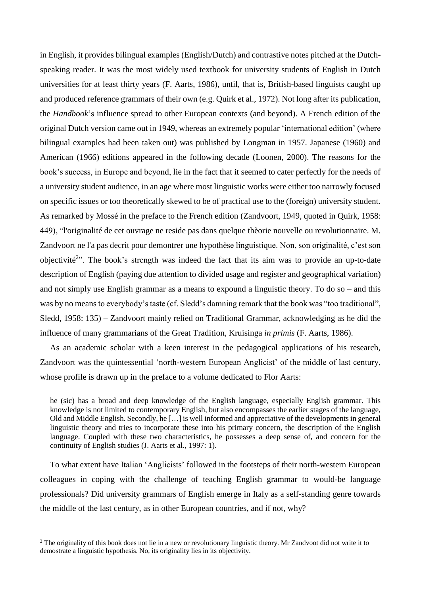in English, it provides bilingual examples (English/Dutch) and contrastive notes pitched at the Dutchspeaking reader. It was the most widely used textbook for university students of English in Dutch universities for at least thirty years (F. Aarts, 1986), until, that is, British-based linguists caught up and produced reference grammars of their own (e.g. Quirk et al., 1972). Not long after its publication, the *Handbook*'s influence spread to other European contexts (and beyond). A French edition of the original Dutch version came out in 1949, whereas an extremely popular 'international edition' (where bilingual examples had been taken out) was published by Longman in 1957. Japanese (1960) and American (1966) editions appeared in the following decade (Loonen, 2000). The reasons for the book's success, in Europe and beyond, lie in the fact that it seemed to cater perfectly for the needs of a university student audience, in an age where most linguistic works were either too narrowly focused on specific issues or too theoretically skewed to be of practical use to the (foreign) university student. As remarked by Mossé in the preface to the French edition (Zandvoort, 1949, quoted in Quirk, 1958: 449), "l'originalité de cet ouvrage ne reside pas dans quelque thèorie nouvelle ou revolutionnaire. M. Zandvoort ne l'a pas decrit pour demontrer une hypothèse linguistique. Non, son originalité, c'est son objectivité<sup>2</sup>". The book's strength was indeed the fact that its aim was to provide an up-to-date description of English (paying due attention to divided usage and register and geographical variation) and not simply use English grammar as a means to expound a linguistic theory. To do so – and this was by no means to everybody's taste (cf. Sledd's damning remark that the book was "too traditional", Sledd, 1958: 135) – Zandvoort mainly relied on Traditional Grammar, acknowledging as he did the influence of many grammarians of the Great Tradition, Kruisinga *in primis* (F. Aarts, 1986).

As an academic scholar with a keen interest in the pedagogical applications of his research, Zandvoort was the quintessential 'north-western European Anglicist' of the middle of last century, whose profile is drawn up in the preface to a volume dedicated to Flor Aarts:

he (sic) has a broad and deep knowledge of the English language, especially English grammar. This knowledge is not limited to contemporary English, but also encompasses the earlier stages of the language, Old and Middle English. Secondly, he […] is well informed and appreciative of the developments in general linguistic theory and tries to incorporate these into his primary concern, the description of the English language. Coupled with these two characteristics, he possesses a deep sense of, and concern for the continuity of English studies (J. Aarts et al., 1997: 1).

To what extent have Italian 'Anglicists' followed in the footsteps of their north-western European colleagues in coping with the challenge of teaching English grammar to would-be language professionals? Did university grammars of English emerge in Italy as a self-standing genre towards the middle of the last century, as in other European countries, and if not, why?

1

 $2$  The originality of this book does not lie in a new or revolutionary linguistic theory. Mr Zandvoot did not write it to demostrate a linguistic hypothesis. No, its originality lies in its objectivity.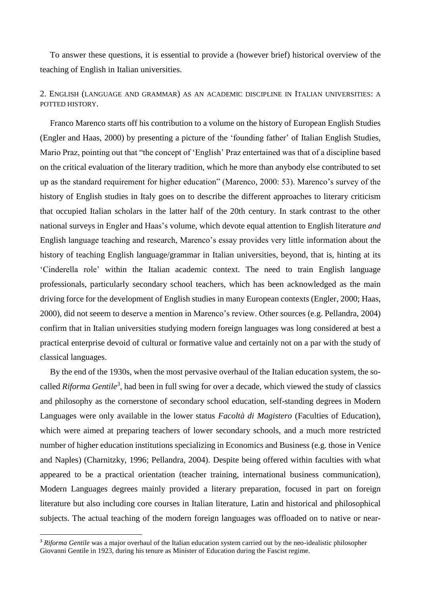To answer these questions, it is essential to provide a (however brief) historical overview of the teaching of English in Italian universities.

# 2. ENGLISH (LANGUAGE AND GRAMMAR) AS AN ACADEMIC DISCIPLINE IN ITALIAN UNIVERSITIES: A POTTED HISTORY.

Franco Marenco starts off his contribution to a volume on the history of European English Studies (Engler and Haas, 2000) by presenting a picture of the 'founding father' of Italian English Studies, Mario Praz, pointing out that "the concept of 'English' Praz entertained was that of a discipline based on the critical evaluation of the literary tradition, which he more than anybody else contributed to set up as the standard requirement for higher education" (Marenco, 2000: 53). Marenco's survey of the history of English studies in Italy goes on to describe the different approaches to literary criticism that occupied Italian scholars in the latter half of the 20th century. In stark contrast to the other national surveys in Engler and Haas's volume, which devote equal attention to English literature *and*  English language teaching and research, Marenco's essay provides very little information about the history of teaching English language/grammar in Italian universities, beyond, that is, hinting at its 'Cinderella role' within the Italian academic context. The need to train English language professionals, particularly secondary school teachers, which has been acknowledged as the main driving force for the development of English studies in many European contexts (Engler, 2000; Haas, 2000), did not seeem to deserve a mention in Marenco's review. Other sources (e.g. Pellandra, 2004) confirm that in Italian universities studying modern foreign languages was long considered at best a practical enterprise devoid of cultural or formative value and certainly not on a par with the study of classical languages.

By the end of the 1930s, when the most pervasive overhaul of the Italian education system, the socalled *Riforma Gentile<sup>3</sup>* , had been in full swing for over a decade, which viewed the study of classics and philosophy as the cornerstone of secondary school education, self-standing degrees in Modern Languages were only available in the lower status *Facoltà di Magistero* (Faculties of Education), which were aimed at preparing teachers of lower secondary schools, and a much more restricted number of higher education institutions specializing in Economics and Business (e.g. those in Venice and Naples) (Charnitzky, 1996; Pellandra, 2004). Despite being offered within faculties with what appeared to be a practical orientation (teacher training, international business communication), Modern Languages degrees mainly provided a literary preparation, focused in part on foreign literature but also including core courses in Italian literature, Latin and historical and philosophical subjects. The actual teaching of the modern foreign languages was offloaded on to native or near-

1

<sup>&</sup>lt;sup>3</sup> Riforma Gentile was a major overhaul of the Italian education system carried out by the neo-idealistic philosopher Giovanni Gentile in 1923, during his tenure as Minister of Education during the Fascist regime.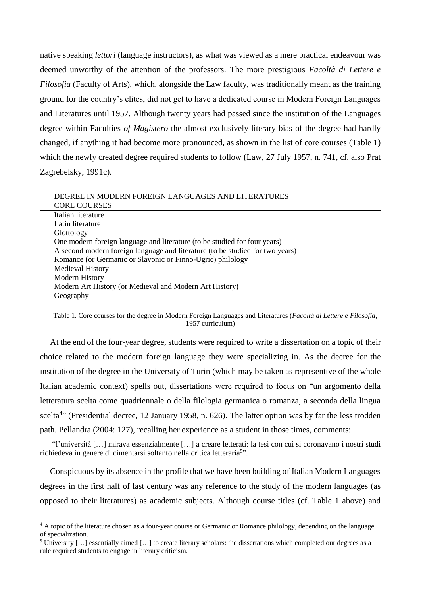native speaking *lettori* (language instructors), as what was viewed as a mere practical endeavour was deemed unworthy of the attention of the professors. The more prestigious *Facoltà di Lettere e Filosofia* (Faculty of Arts), which, alongside the Law faculty, was traditionally meant as the training ground for the country's elites, did not get to have a dedicated course in Modern Foreign Languages and Literatures until 1957. Although twenty years had passed since the institution of the Languages degree within Faculties *of Magistero* the almost exclusively literary bias of the degree had hardly changed, if anything it had become more pronounced, as shown in the list of core courses (Table 1) which the newly created degree required students to follow (Law, 27 July 1957, n. 741, cf. also Prat Zagrebelsky, 1991c).

| DEGREE IN MODERN FOREIGN LANGUAGES AND LITERATURES                            |  |  |
|-------------------------------------------------------------------------------|--|--|
| <b>CORE COURSES</b>                                                           |  |  |
| Italian literature                                                            |  |  |
| Latin literature                                                              |  |  |
| Glottology                                                                    |  |  |
| One modern foreign language and literature (to be studied for four years)     |  |  |
| A second modern foreign language and literature (to be studied for two years) |  |  |
| Romance (or Germanic or Slavonic or Finno-Ugric) philology                    |  |  |
| <b>Medieval History</b>                                                       |  |  |
| Modern History                                                                |  |  |
| Modern Art History (or Medieval and Modern Art History)                       |  |  |
| Geography                                                                     |  |  |
|                                                                               |  |  |

Table 1. Core courses for the degree in Modern Foreign Languages and Literatures (*Facoltà di Lettere e Filosofia*, 1957 curriculum)

At the end of the four-year degree, students were required to write a dissertation on a topic of their choice related to the modern foreign language they were specializing in. As the decree for the institution of the degree in the University of Turin (which may be taken as representive of the whole Italian academic context) spells out, dissertations were required to focus on "un argomento della letteratura scelta come quadriennale o della filologia germanica o romanza, a seconda della lingua scelta<sup>4</sup>" (Presidential decree, 12 January 1958, n. 626). The latter option was by far the less trodden path. Pellandra (2004: 127), recalling her experience as a student in those times, comments:

"l'università […] mirava essenzialmente […] a creare letterati: la tesi con cui si coronavano i nostri studi richiedeva in genere di cimentarsi soltanto nella critica letteraria<sup>5</sup>".

Conspicuous by its absence in the profile that we have been building of Italian Modern Languages degrees in the first half of last century was any reference to the study of the modern languages (as opposed to their literatures) as academic subjects. Although course titles (cf. Table 1 above) and

<sup>4</sup> A topic of the literature chosen as a four-year course or Germanic or Romance philology, depending on the language of specialization.

<sup>&</sup>lt;sup>5</sup> University [...] essentially aimed [...] to create literary scholars: the dissertations which completed our degrees as a rule required students to engage in literary criticism.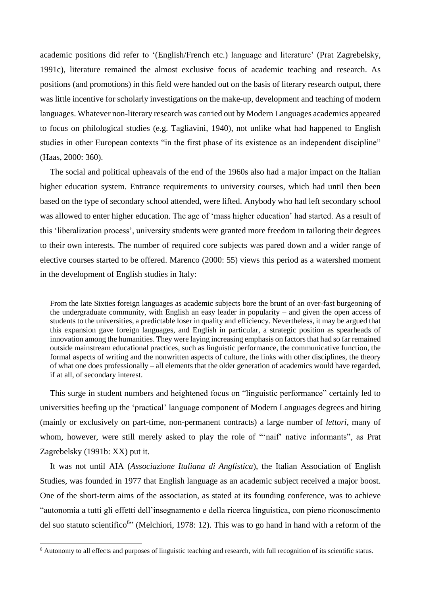academic positions did refer to '(English/French etc.) language and literature' (Prat Zagrebelsky, 1991c), literature remained the almost exclusive focus of academic teaching and research. As positions (and promotions) in this field were handed out on the basis of literary research output, there was little incentive for scholarly investigations on the make-up, development and teaching of modern languages. Whatever non-literary research was carried out by Modern Languages academics appeared to focus on philological studies (e.g. Tagliavini, 1940), not unlike what had happened to English studies in other European contexts "in the first phase of its existence as an independent discipline" (Haas, 2000: 360).

The social and political upheavals of the end of the 1960s also had a major impact on the Italian higher education system. Entrance requirements to university courses, which had until then been based on the type of secondary school attended, were lifted. Anybody who had left secondary school was allowed to enter higher education. The age of 'mass higher education' had started. As a result of this 'liberalization process', university students were granted more freedom in tailoring their degrees to their own interests. The number of required core subjects was pared down and a wider range of elective courses started to be offered. Marenco (2000: 55) views this period as a watershed moment in the development of English studies in Italy:

From the late Sixties foreign languages as academic subjects bore the brunt of an over-fast burgeoning of the undergraduate community, with English an easy leader in popularity – and given the open access of students to the universities, a predictable loser in quality and efficiency. Nevertheless, it may be argued that this expansion gave foreign languages, and English in particular, a strategic position as spearheads of innovation among the humanities. They were laying increasing emphasis on factors that had so far remained outside mainstream educational practices, such as linguistic performance, the communicative function, the formal aspects of writing and the nonwritten aspects of culture, the links with other disciplines, the theory of what one does professionally – all elements that the older generation of academics would have regarded, if at all, of secondary interest.

This surge in student numbers and heightened focus on "linguistic performance" certainly led to universities beefing up the 'practical' language component of Modern Languages degrees and hiring (mainly or exclusively on part-time, non-permanent contracts) a large number of *lettori*, many of whom, however, were still merely asked to play the role of "'naif' native informants", as Prat Zagrebelsky (1991b: XX) put it.

It was not until AIA (*Associazione Italiana di Anglistica*), the Italian Association of English Studies, was founded in 1977 that English language as an academic subject received a major boost. One of the short-term aims of the association, as stated at its founding conference, was to achieve "autonomia a tutti gli effetti dell'insegnamento e della ricerca linguistica, con pieno riconoscimento del suo statuto scientifico<sup>6</sup>" (Melchiori, 1978: 12). This was to go hand in hand with a reform of the

<sup>6</sup> Autonomy to all effects and purposes of linguistic teaching and research, with full recognition of its scientific status.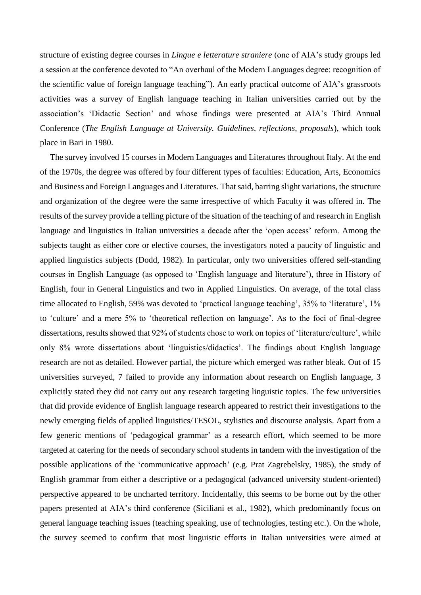structure of existing degree courses in *Lingue e letterature straniere* (one of AIA's study groups led a session at the conference devoted to "An overhaul of the Modern Languages degree: recognition of the scientific value of foreign language teaching"). An early practical outcome of AIA's grassroots activities was a survey of English language teaching in Italian universities carried out by the association's 'Didactic Section' and whose findings were presented at AIA's Third Annual Conference (*The English Language at University. Guidelines, reflections, proposals*), which took place in Bari in 1980.

The survey involved 15 courses in Modern Languages and Literatures throughout Italy. At the end of the 1970s, the degree was offered by four different types of faculties: Education, Arts, Economics and Business and Foreign Languages and Literatures. That said, barring slight variations, the structure and organization of the degree were the same irrespective of which Faculty it was offered in. The results of the survey provide a telling picture of the situation of the teaching of and research in English language and linguistics in Italian universities a decade after the 'open access' reform. Among the subjects taught as either core or elective courses, the investigators noted a paucity of linguistic and applied linguistics subjects (Dodd, 1982). In particular, only two universities offered self-standing courses in English Language (as opposed to 'English language and literature'), three in History of English, four in General Linguistics and two in Applied Linguistics. On average, of the total class time allocated to English, 59% was devoted to 'practical language teaching', 35% to 'literature', 1% to 'culture' and a mere 5% to 'theoretical reflection on language'. As to the foci of final-degree dissertations, results showed that 92% of students chose to work on topics of 'literature/culture', while only 8% wrote dissertations about 'linguistics/didactics'. The findings about English language research are not as detailed. However partial, the picture which emerged was rather bleak. Out of 15 universities surveyed, 7 failed to provide any information about research on English language, 3 explicitly stated they did not carry out any research targeting linguistic topics. The few universities that did provide evidence of English language research appeared to restrict their investigations to the newly emerging fields of applied linguistics/TESOL, stylistics and discourse analysis. Apart from a few generic mentions of 'pedagogical grammar' as a research effort, which seemed to be more targeted at catering for the needs of secondary school students in tandem with the investigation of the possible applications of the 'communicative approach' (e.g. Prat Zagrebelsky, 1985), the study of English grammar from either a descriptive or a pedagogical (advanced university student-oriented) perspective appeared to be uncharted territory. Incidentally, this seems to be borne out by the other papers presented at AIA's third conference (Siciliani et al., 1982), which predominantly focus on general language teaching issues (teaching speaking, use of technologies, testing etc.). On the whole, the survey seemed to confirm that most linguistic efforts in Italian universities were aimed at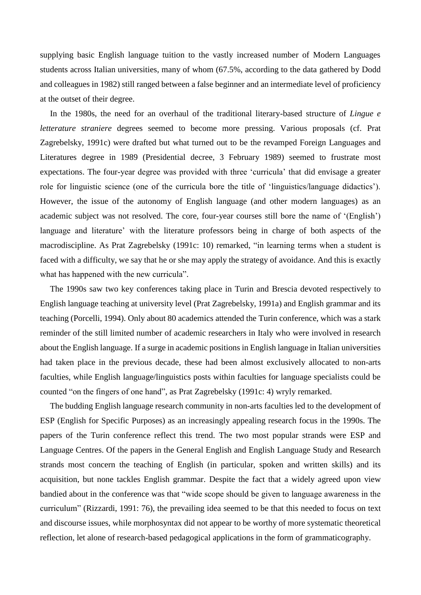supplying basic English language tuition to the vastly increased number of Modern Languages students across Italian universities, many of whom (67.5%, according to the data gathered by Dodd and colleagues in 1982) still ranged between a false beginner and an intermediate level of proficiency at the outset of their degree.

In the 1980s, the need for an overhaul of the traditional literary-based structure of *Lingue e letterature straniere* degrees seemed to become more pressing. Various proposals (cf. Prat Zagrebelsky, 1991c) were drafted but what turned out to be the revamped Foreign Languages and Literatures degree in 1989 (Presidential decree, 3 February 1989) seemed to frustrate most expectations. The four-year degree was provided with three 'curricula' that did envisage a greater role for linguistic science (one of the curricula bore the title of 'linguistics/language didactics'). However, the issue of the autonomy of English language (and other modern languages) as an academic subject was not resolved. The core, four-year courses still bore the name of '(English') language and literature' with the literature professors being in charge of both aspects of the macrodiscipline. As Prat Zagrebelsky (1991c: 10) remarked, "in learning terms when a student is faced with a difficulty, we say that he or she may apply the strategy of avoidance. And this is exactly what has happened with the new curricula".

The 1990s saw two key conferences taking place in Turin and Brescia devoted respectively to English language teaching at university level (Prat Zagrebelsky, 1991a) and English grammar and its teaching (Porcelli, 1994). Only about 80 academics attended the Turin conference, which was a stark reminder of the still limited number of academic researchers in Italy who were involved in research about the English language. If a surge in academic positions in English language in Italian universities had taken place in the previous decade, these had been almost exclusively allocated to non-arts faculties, while English language/linguistics posts within faculties for language specialists could be counted "on the fingers of one hand", as Prat Zagrebelsky (1991c: 4) wryly remarked.

The budding English language research community in non-arts faculties led to the development of ESP (English for Specific Purposes) as an increasingly appealing research focus in the 1990s. The papers of the Turin conference reflect this trend. The two most popular strands were ESP and Language Centres. Of the papers in the General English and English Language Study and Research strands most concern the teaching of English (in particular, spoken and written skills) and its acquisition, but none tackles English grammar. Despite the fact that a widely agreed upon view bandied about in the conference was that "wide scope should be given to language awareness in the curriculum" (Rizzardi, 1991: 76), the prevailing idea seemed to be that this needed to focus on text and discourse issues, while morphosyntax did not appear to be worthy of more systematic theoretical reflection, let alone of research-based pedagogical applications in the form of grammaticography.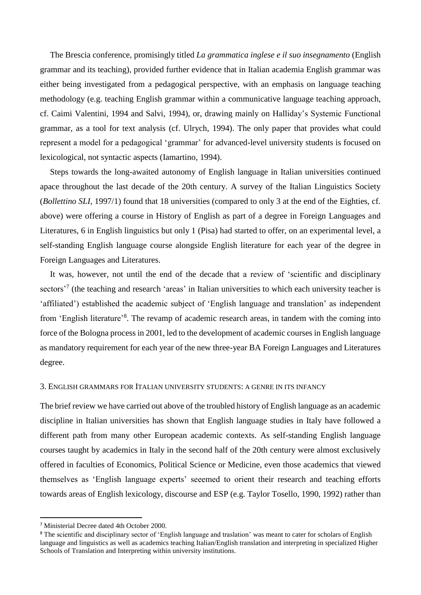The Brescia conference, promisingly titled *La grammatica inglese e il suo insegnamento* (English grammar and its teaching), provided further evidence that in Italian academia English grammar was either being investigated from a pedagogical perspective, with an emphasis on language teaching methodology (e.g. teaching English grammar within a communicative language teaching approach, cf. Caimi Valentini, 1994 and Salvi, 1994), or, drawing mainly on Halliday's Systemic Functional grammar, as a tool for text analysis (cf. Ulrych, 1994). The only paper that provides what could represent a model for a pedagogical 'grammar' for advanced-level university students is focused on lexicological, not syntactic aspects (Iamartino, 1994).

Steps towards the long-awaited autonomy of English language in Italian universities continued apace throughout the last decade of the 20th century. A survey of the Italian Linguistics Society (*Bollettino SLI,* 1997/1) found that 18 universities (compared to only 3 at the end of the Eighties, cf. above) were offering a course in History of English as part of a degree in Foreign Languages and Literatures, 6 in English linguistics but only 1 (Pisa) had started to offer, on an experimental level, a self-standing English language course alongside English literature for each year of the degree in Foreign Languages and Literatures.

It was, however, not until the end of the decade that a review of 'scientific and disciplinary sectors<sup>,7</sup> (the teaching and research 'areas' in Italian universities to which each university teacher is 'affiliated') established the academic subject of 'English language and translation' as independent from 'English literature'<sup>8</sup>. The revamp of academic research areas, in tandem with the coming into force of the Bologna process in 2001, led to the development of academic courses in English language as mandatory requirement for each year of the new three-year BA Foreign Languages and Literatures degree.

#### 3. ENGLISH GRAMMARS FOR ITALIAN UNIVERSITY STUDENTS: A GENRE IN ITS INFANCY

The brief review we have carried out above of the troubled history of English language as an academic discipline in Italian universities has shown that English language studies in Italy have followed a different path from many other European academic contexts. As self-standing English language courses taught by academics in Italy in the second half of the 20th century were almost exclusively offered in faculties of Economics, Political Science or Medicine, even those academics that viewed themselves as 'English language experts' seeemed to orient their research and teaching efforts towards areas of English lexicology, discourse and ESP (e.g. Taylor Tosello, 1990, 1992) rather than

<sup>7</sup> Ministerial Decree dated 4th October 2000.

<sup>&</sup>lt;sup>8</sup> The scientific and disciplinary sector of 'English language and traslation' was meant to cater for scholars of English language and linguistics as well as academics teaching Italian/English translation and interpreting in specialized Higher Schools of Translation and Interpreting within university institutions.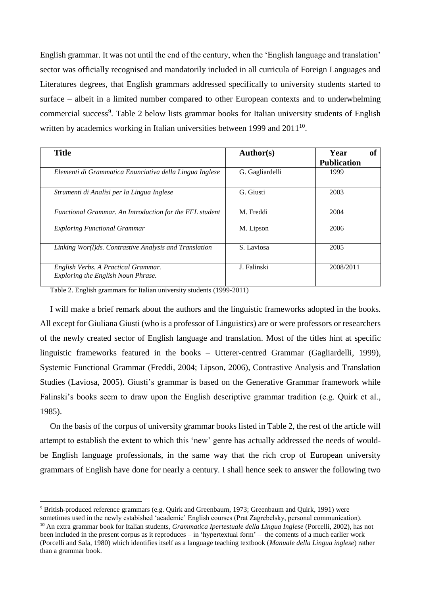English grammar. It was not until the end of the century, when the 'English language and translation' sector was officially recognised and mandatorily included in all curricula of Foreign Languages and Literatures degrees, that English grammars addressed specifically to university students started to surface – albeit in a limited number compared to other European contexts and to underwhelming commercial success<sup>9</sup>. Table 2 below lists grammar books for Italian university students of English written by academics working in Italian universities between 1999 and  $2011^{10}$ .

| <b>Title</b>                                                              | Author(s)       | Year<br>0ľ<br><b>Publication</b> |
|---------------------------------------------------------------------------|-----------------|----------------------------------|
| Elementi di Grammatica Enunciativa della Lingua Inglese                   | G. Gagliardelli | 1999                             |
| Strumenti di Analisi per la Lingua Inglese                                | G. Giusti       | 2003                             |
| Functional Grammar. An Introduction for the EFL student                   | M. Freddi       | 2004                             |
| <b>Exploring Functional Grammar</b>                                       | M. Lipson       | 2006                             |
| Linking Wor(1)ds. Contrastive Analysis and Translation                    | S. Laviosa      | 2005                             |
| English Verbs. A Practical Grammar.<br>Exploring the English Noun Phrase. | J. Falinski     | 2008/2011                        |

Table 2. English grammars for Italian university students (1999-2011)

**.** 

I will make a brief remark about the authors and the linguistic frameworks adopted in the books. All except for Giuliana Giusti (who is a professor of Linguistics) are or were professors or researchers of the newly created sector of English language and translation. Most of the titles hint at specific linguistic frameworks featured in the books – Utterer-centred Grammar (Gagliardelli, 1999), Systemic Functional Grammar (Freddi, 2004; Lipson, 2006), Contrastive Analysis and Translation Studies (Laviosa, 2005). Giusti's grammar is based on the Generative Grammar framework while Falinski's books seem to draw upon the English descriptive grammar tradition (e.g. Quirk et al., 1985).

On the basis of the corpus of university grammar books listed in Table 2, the rest of the article will attempt to establish the extent to which this 'new' genre has actually addressed the needs of wouldbe English language professionals, in the same way that the rich crop of European university grammars of English have done for nearly a century. I shall hence seek to answer the following two

<sup>9</sup> British-produced reference grammars (e.g. Quirk and Greenbaum, 1973; Greenbaum and Quirk, 1991) were sometimes used in the newly estabished 'academic' English courses (Prat Zagrebelsky, personal communication).

<sup>10</sup> An extra grammar book for Italian students, *Grammatica Ipertestuale della Lingua Inglese* (Porcelli, 2002), has not been included in the present corpus as it reproduces – in 'hypertextual form' – the contents of a much earlier work (Porcelli and Sala, 1980) which identifies itself as a language teaching textbook (*Manuale della Lingua inglese*) rather than a grammar book.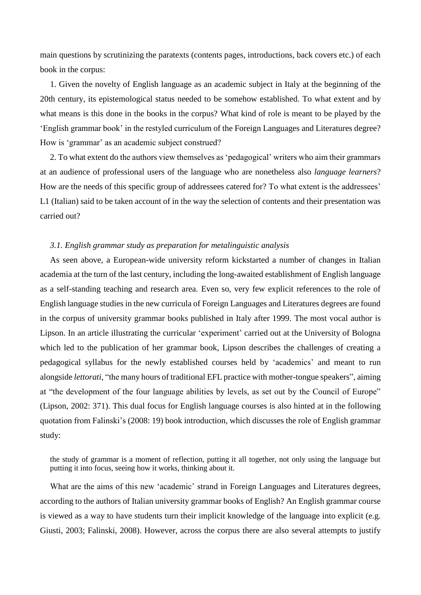main questions by scrutinizing the paratexts (contents pages, introductions, back covers etc.) of each book in the corpus:

1. Given the novelty of English language as an academic subject in Italy at the beginning of the 20th century, its epistemological status needed to be somehow established. To what extent and by what means is this done in the books in the corpus? What kind of role is meant to be played by the 'English grammar book' in the restyled curriculum of the Foreign Languages and Literatures degree? How is 'grammar' as an academic subject construed?

2. To what extent do the authors view themselves as 'pedagogical' writers who aim their grammars at an audience of professional users of the language who are nonetheless also *language learners*? How are the needs of this specific group of addressees catered for? To what extent is the addressees' L1 (Italian) said to be taken account of in the way the selection of contents and their presentation was carried out?

### *3.1. English grammar study as preparation for metalinguistic analysis*

As seen above, a European-wide university reform kickstarted a number of changes in Italian academia at the turn of the last century, including the long-awaited establishment of English language as a self-standing teaching and research area. Even so, very few explicit references to the role of English language studies in the new curricula of Foreign Languages and Literatures degrees are found in the corpus of university grammar books published in Italy after 1999. The most vocal author is Lipson. In an article illustrating the curricular 'experiment' carried out at the University of Bologna which led to the publication of her grammar book, Lipson describes the challenges of creating a pedagogical syllabus for the newly established courses held by 'academics' and meant to run alongside *lettorati*, "the many hours of traditional EFL practice with mother-tongue speakers", aiming at "the development of the four language abilities by levels, as set out by the Council of Europe" (Lipson, 2002: 371). This dual focus for English language courses is also hinted at in the following quotation from Falinski's (2008: 19) book introduction, which discusses the role of English grammar study:

the study of grammar is a moment of reflection, putting it all together, not only using the language but putting it into focus, seeing how it works, thinking about it.

What are the aims of this new 'academic' strand in Foreign Languages and Literatures degrees, according to the authors of Italian university grammar books of English? An English grammar course is viewed as a way to have students turn their implicit knowledge of the language into explicit (e.g. Giusti, 2003; Falinski, 2008). However, across the corpus there are also several attempts to justify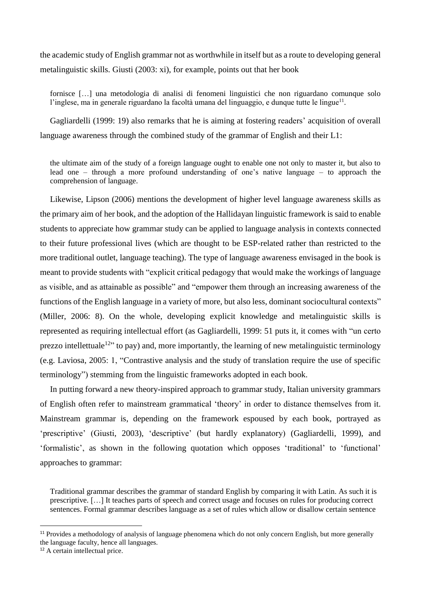the academic study of English grammar not as worthwhile in itself but as a route to developing general metalinguistic skills. Giusti (2003: xi), for example, points out that her book

fornisce […] una metodologia di analisi di fenomeni linguistici che non riguardano comunque solo l'inglese, ma in generale riguardano la facoltà umana del linguaggio, e dunque tutte le lingue<sup>11</sup>.

Gagliardelli (1999: 19) also remarks that he is aiming at fostering readers' acquisition of overall language awareness through the combined study of the grammar of English and their L1:

the ultimate aim of the study of a foreign language ought to enable one not only to master it, but also to lead one – through a more profound understanding of one's native language – to approach the comprehension of language.

Likewise, Lipson (2006) mentions the development of higher level language awareness skills as the primary aim of her book, and the adoption of the Hallidayan linguistic framework is said to enable students to appreciate how grammar study can be applied to language analysis in contexts connected to their future professional lives (which are thought to be ESP-related rather than restricted to the more traditional outlet, language teaching). The type of language awareness envisaged in the book is meant to provide students with "explicit critical pedagogy that would make the workings of language as visible, and as attainable as possible" and "empower them through an increasing awareness of the functions of the English language in a variety of more, but also less, dominant sociocultural contexts" (Miller, 2006: 8). On the whole, developing explicit knowledge and metalinguistic skills is represented as requiring intellectual effort (as Gagliardelli, 1999: 51 puts it, it comes with "un certo prezzo intellettuale<sup>12</sup>" to pay) and, more importantly, the learning of new metalinguistic terminology (e.g. Laviosa, 2005: 1, "Contrastive analysis and the study of translation require the use of specific terminology") stemming from the linguistic frameworks adopted in each book.

In putting forward a new theory-inspired approach to grammar study, Italian university grammars of English often refer to mainstream grammatical 'theory' in order to distance themselves from it. Mainstream grammar is, depending on the framework espoused by each book, portrayed as 'prescriptive' (Giusti, 2003), 'descriptive' (but hardly explanatory) (Gagliardelli, 1999), and 'formalistic', as shown in the following quotation which opposes 'traditional' to 'functional' approaches to grammar:

Traditional grammar describes the grammar of standard English by comparing it with Latin. As such it is prescriptive. […] It teaches parts of speech and correct usage and focuses on rules for producing correct sentences. Formal grammar describes language as a set of rules which allow or disallow certain sentence

<sup>&</sup>lt;sup>11</sup> Provides a methodology of analysis of language phenomena which do not only concern English, but more generally the language faculty, hence all languages.

<sup>12</sup> A certain intellectual price.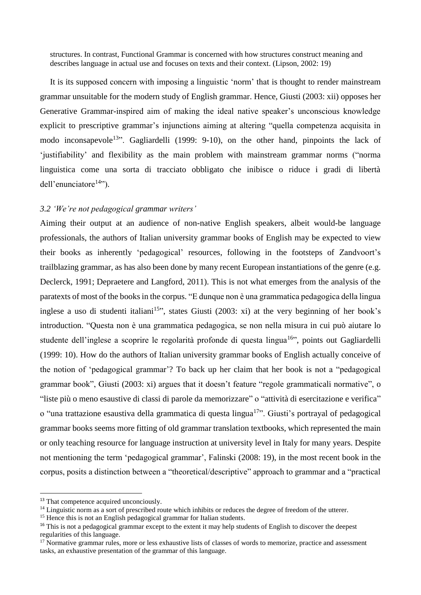structures. In contrast, Functional Grammar is concerned with how structures construct meaning and describes language in actual use and focuses on texts and their context. (Lipson, 2002: 19)

It is its supposed concern with imposing a linguistic 'norm' that is thought to render mainstream grammar unsuitable for the modern study of English grammar. Hence, Giusti (2003: xii) opposes her Generative Grammar-inspired aim of making the ideal native speaker's unconscious knowledge explicit to prescriptive grammar's injunctions aiming at altering "quella competenza acquisita in modo inconsapevole<sup>13</sup>". Gagliardelli (1999: 9-10), on the other hand, pinpoints the lack of 'justifiability' and flexibility as the main problem with mainstream grammar norms ("norma linguistica come una sorta di tracciato obbligato che inibisce o riduce i gradi di libertà dell'enunciatore $14$ ").

### *3.2 'We're not pedagogical grammar writers'*

Aiming their output at an audience of non-native English speakers, albeit would-be language professionals, the authors of Italian university grammar books of English may be expected to view their books as inherently 'pedagogical' resources, following in the footsteps of Zandvoort's trailblazing grammar, as has also been done by many recent European instantiations of the genre (e.g. Declerck, 1991; Depraetere and Langford, 2011). This is not what emerges from the analysis of the paratexts of most of the books in the corpus. "E dunque non è una grammatica pedagogica della lingua inglese a uso di studenti italiani<sup>15</sup>", states Giusti (2003: xi) at the very beginning of her book's introduction. "Questa non è una grammatica pedagogica, se non nella misura in cui può aiutare lo studente dell'inglese a scoprire le regolarità profonde di questa lingua<sup>16</sup>", points out Gagliardelli (1999: 10). How do the authors of Italian university grammar books of English actually conceive of the notion of 'pedagogical grammar'? To back up her claim that her book is not a "pedagogical grammar book", Giusti (2003: xi) argues that it doesn't feature "regole grammaticali normative", o "liste più o meno esaustive di classi di parole da memorizzare" o "attività di esercitazione e verifica" o "una trattazione esaustiva della grammatica di questa lingua<sup>17</sup>". Giusti's portrayal of pedagogical grammar books seems more fitting of old grammar translation textbooks, which represented the main or only teaching resource for language instruction at university level in Italy for many years. Despite not mentioning the term 'pedagogical grammar', Falinski (2008: 19), in the most recent book in the corpus, posits a distinction between a "theoretical/descriptive" approach to grammar and a "practical

<sup>&</sup>lt;sup>13</sup> That competence acquired unconciously.

<sup>&</sup>lt;sup>14</sup> Linguistic norm as a sort of prescribed route which inhibits or reduces the degree of freedom of the utterer.

<sup>&</sup>lt;sup>15</sup> Hence this is not an English pedagogical grammar for Italian students.

<sup>&</sup>lt;sup>16</sup> This is not a pedagogical grammar except to the extent it may help students of English to discover the deepest regularities of this language.

<sup>&</sup>lt;sup>17</sup> Normative grammar rules, more or less exhaustive lists of classes of words to memorize, practice and assessment tasks, an exhaustive presentation of the grammar of this language.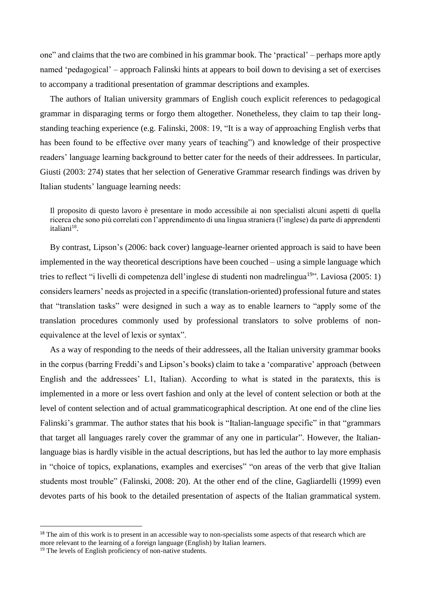one" and claims that the two are combined in his grammar book. The 'practical' – perhaps more aptly named 'pedagogical' – approach Falinski hints at appears to boil down to devising a set of exercises to accompany a traditional presentation of grammar descriptions and examples.

The authors of Italian university grammars of English couch explicit references to pedagogical grammar in disparaging terms or forgo them altogether. Nonetheless, they claim to tap their longstanding teaching experience (e.g. Falinski, 2008: 19, "It is a way of approaching English verbs that has been found to be effective over many years of teaching") and knowledge of their prospective readers' language learning background to better cater for the needs of their addressees. In particular, Giusti (2003: 274) states that her selection of Generative Grammar research findings was driven by Italian students' language learning needs:

Il proposito di questo lavoro è presentare in modo accessibile ai non specialisti alcuni aspetti di quella ricerca che sono più correlati con l'apprendimento di una lingua straniera (l'inglese) da parte di apprendenti italiani<sup>18</sup>.

By contrast, Lipson's (2006: back cover) language-learner oriented approach is said to have been implemented in the way theoretical descriptions have been couched – using a simple language which tries to reflect "i livelli di competenza dell'inglese di studenti non madrelingua<sup>19</sup>". Laviosa (2005: 1) considers learners' needs as projected in a specific (translation-oriented) professional future and states that "translation tasks" were designed in such a way as to enable learners to "apply some of the translation procedures commonly used by professional translators to solve problems of nonequivalence at the level of lexis or syntax".

As a way of responding to the needs of their addressees, all the Italian university grammar books in the corpus (barring Freddi's and Lipson's books) claim to take a 'comparative' approach (between English and the addressees' L1, Italian). According to what is stated in the paratexts, this is implemented in a more or less overt fashion and only at the level of content selection or both at the level of content selection and of actual grammaticographical description. At one end of the cline lies Falinski's grammar. The author states that his book is "Italian-language specific" in that "grammars that target all languages rarely cover the grammar of any one in particular". However, the Italianlanguage bias is hardly visible in the actual descriptions, but has led the author to lay more emphasis in "choice of topics, explanations, examples and exercises" "on areas of the verb that give Italian students most trouble" (Falinski, 2008: 20). At the other end of the cline, Gagliardelli (1999) even devotes parts of his book to the detailed presentation of aspects of the Italian grammatical system.

<sup>&</sup>lt;sup>18</sup> The aim of this work is to present in an accessible way to non-specialists some aspects of that research which are more relevant to the learning of a foreign language (English) by Italian learners.

<sup>&</sup>lt;sup>19</sup> The levels of English proficiency of non-native students.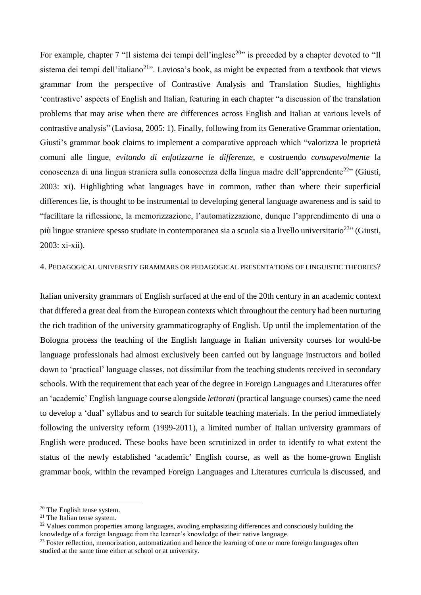For example, chapter 7 "Il sistema dei tempi dell'inglese<sup>20</sup>" is preceded by a chapter devoted to "Il sistema dei tempi dell'italiano<sup>21</sup>". Laviosa's book, as might be expected from a textbook that views grammar from the perspective of Contrastive Analysis and Translation Studies, highlights 'contrastive' aspects of English and Italian, featuring in each chapter "a discussion of the translation problems that may arise when there are differences across English and Italian at various levels of contrastive analysis" (Laviosa, 2005: 1). Finally, following from its Generative Grammar orientation, Giusti's grammar book claims to implement a comparative approach which "valorizza le proprietà comuni alle lingue, *evitando di enfatizzarne le differenze*, e costruendo *consapevolmente* la conoscenza di una lingua straniera sulla conoscenza della lingua madre dell'apprendente<sup>22</sup>" (Giusti, 2003: xi). Highlighting what languages have in common, rather than where their superficial differences lie, is thought to be instrumental to developing general language awareness and is said to "facilitare la riflessione, la memorizzazione, l'automatizzazione, dunque l'apprendimento di una o più lingue straniere spesso studiate in contemporanea sia a scuola sia a livello universitario<sup>23</sup>" (Giusti, 2003: xi-xii).

### 4. PEDAGOGICAL UNIVERSITY GRAMMARS OR PEDAGOGICAL PRESENTATIONS OF LINGUISTIC THEORIES?

Italian university grammars of English surfaced at the end of the 20th century in an academic context that differed a great deal from the European contexts which throughout the century had been nurturing the rich tradition of the university grammaticography of English. Up until the implementation of the Bologna process the teaching of the English language in Italian university courses for would-be language professionals had almost exclusively been carried out by language instructors and boiled down to 'practical' language classes, not dissimilar from the teaching students received in secondary schools. With the requirement that each year of the degree in Foreign Languages and Literatures offer an 'academic' English language course alongside *lettorati* (practical language courses) came the need to develop a 'dual' syllabus and to search for suitable teaching materials. In the period immediately following the university reform (1999-2011), a limited number of Italian university grammars of English were produced. These books have been scrutinized in order to identify to what extent the status of the newly established 'academic' English course, as well as the home-grown English grammar book, within the revamped Foreign Languages and Literatures curricula is discussed, and

1

<sup>20</sup> The English tense system.

<sup>21</sup> The Italian tense system.

 $^{22}$  Values common properties among languages, avoding emphasizing differences and consciously building the knowledge of a foreign language from the learner's knowledge of their native language.

<sup>&</sup>lt;sup>23</sup> Foster reflection, memorization, automatization and hence the learning of one or more foreign languages often studied at the same time either at school or at university.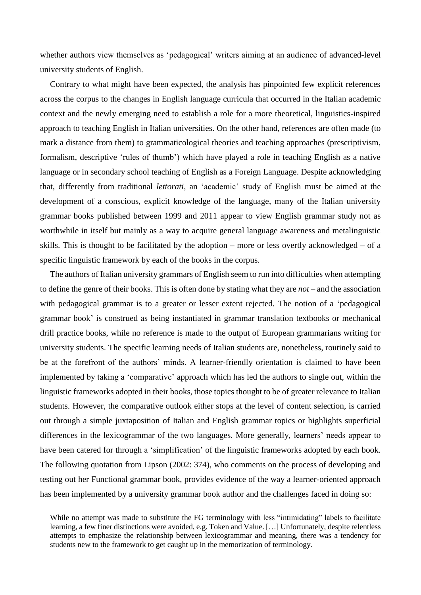whether authors view themselves as 'pedagogical' writers aiming at an audience of advanced-level university students of English.

Contrary to what might have been expected, the analysis has pinpointed few explicit references across the corpus to the changes in English language curricula that occurred in the Italian academic context and the newly emerging need to establish a role for a more theoretical, linguistics-inspired approach to teaching English in Italian universities. On the other hand, references are often made (to mark a distance from them) to grammaticological theories and teaching approaches (prescriptivism, formalism, descriptive 'rules of thumb') which have played a role in teaching English as a native language or in secondary school teaching of English as a Foreign Language. Despite acknowledging that, differently from traditional *lettorati*, an 'academic' study of English must be aimed at the development of a conscious, explicit knowledge of the language, many of the Italian university grammar books published between 1999 and 2011 appear to view English grammar study not as worthwhile in itself but mainly as a way to acquire general language awareness and metalinguistic skills. This is thought to be facilitated by the adoption – more or less overtly acknowledged – of a specific linguistic framework by each of the books in the corpus.

The authors of Italian university grammars of English seem to run into difficulties when attempting to define the genre of their books. This is often done by stating what they are *not* – and the association with pedagogical grammar is to a greater or lesser extent rejected. The notion of a 'pedagogical grammar book' is construed as being instantiated in grammar translation textbooks or mechanical drill practice books, while no reference is made to the output of European grammarians writing for university students. The specific learning needs of Italian students are, nonetheless, routinely said to be at the forefront of the authors' minds. A learner-friendly orientation is claimed to have been implemented by taking a 'comparative' approach which has led the authors to single out, within the linguistic frameworks adopted in their books, those topics thought to be of greater relevance to Italian students. However, the comparative outlook either stops at the level of content selection, is carried out through a simple juxtaposition of Italian and English grammar topics or highlights superficial differences in the lexicogrammar of the two languages. More generally, learners' needs appear to have been catered for through a 'simplification' of the linguistic frameworks adopted by each book. The following quotation from Lipson (2002: 374), who comments on the process of developing and testing out her Functional grammar book, provides evidence of the way a learner-oriented approach has been implemented by a university grammar book author and the challenges faced in doing so:

While no attempt was made to substitute the FG terminology with less "intimidating" labels to facilitate learning, a few finer distinctions were avoided, e.g. Token and Value. […] Unfortunately, despite relentless attempts to emphasize the relationship between lexicogrammar and meaning, there was a tendency for students new to the framework to get caught up in the memorization of terminology.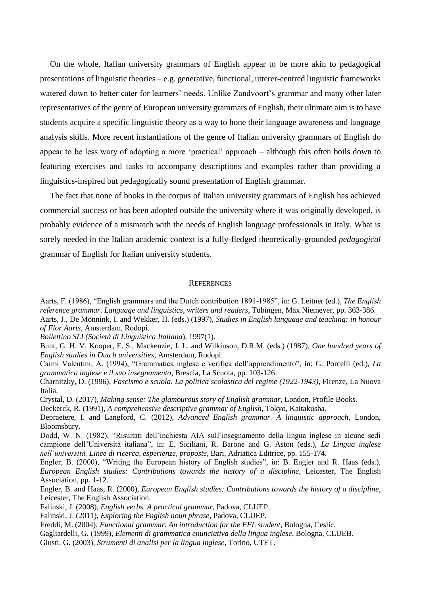On the whole, Italian university grammars of English appear to be more akin to pedagogical presentations of linguistic theories – e.g. generative, functional, utterer-centred linguistic frameworks watered down to better cater for learners' needs. Unlike Zandvoort's grammar and many other later representatives of the genre of European university grammars of English, their ultimate aim is to have students acquire a specific linguistic theory as a way to hone their language awareness and language analysis skills. More recent instantiations of the genre of Italian university grammars of English do appear to be less wary of adopting a more 'practical' approach – although this often boils down to featuring exercises and tasks to accompany descriptions and examples rather than providing a linguistics-inspired but pedagogically sound presentation of English grammar.

The fact that none of books in the corpus of Italian university grammars of English has achieved commercial success or has been adopted outside the university where it was originally developed, is probably evidence of a mismatch with the needs of English language professionals in Italy. What is sorely needed in the Italian academic context is a fully-fledged theoretically-grounded *pedagogical* grammar of English for Italian university students.

#### **REFERENCES**

Aarts, F. (1986), "English grammars and the Dutch contribution 1891-1985", in: G. Leitner (ed.), *The English reference grammar*. *Language and linguistics, writers and readers*, Tübingen, Max Niemeyer, pp. 363-386. Aarts, J., De Mönnink, I. and Wekker, H. (eds.) (1997), *Studies in English language and teaching: in honour of Flor Aarts*, Amsterdam, Rodopi.

*Bollettino SLI (Società di Linguistica Italiana*), 1997(1).

Bunt, G. H. V, Kooper, E. S., Mackenzie, J. L. and Wilkinson, D.R.M. (eds.) (1987), *One hundred years of English studies in Dutch universities*, Amsterdam, Rodopi.

Caimi Valentini, A. (1994), "Grammatica inglese e verifica dell'apprendimento", in: G. Porcelli (ed.), *La grammatica inglese e il suo insegnamento*, Brescia, La Scuola, pp. 103-126.

Charnitzky, D. (1996), *Fascismo e scuola. La politica scolastica del regime (1922-1943)*, Firenze, La Nuova Italia.

Crystal, D. (2017), *Making sense: The glamourous story of English grammar*, London, Profile Books.

Deckerck, R. (1991), *A comprehensive descriptive grammar of English*, Tokyo, Kaitakusha.

Depraetere, I. and Langford, C. (2012), *Advanced English grammar. A linguistic approach,* London, Bloomsbury.

Dodd, W. N. (1982), "Risultati dell'inchiesta AIA sull'insegnamento della lingua inglese in alcune sedi campione dell'Università italiana", in: E. Siciliani, R. Barone and G. Aston (eds.), *La Lingua inglese nell'università. Linee di ricerca, esperienze, proposte*, Bari, Adriatica Editrice, pp. 155-174.

Engler, B. (2000), "Writing the European history of English studies", in: B. Engler and R. Haas (eds.), *European English studies: Contributions towards the history of a discipline*, Leicester, The English Association, pp. 1-12.

Engler, B. and Haas, R. (2000), *European English studies: Contributions towards the history of a discipline*, Leicester, The English Association.

Falinski, J. (2008), *English verbs. A practical grammar*, Padova, CLUEP.

Falinski, J. (2011), *Exploring the English noun phrase*, Padova, CLUEP.

Freddi, M. (2004), *Functional grammar. An introduction for the EFL student*, Bologna, Ceslic.

Gagliardelli, G. (1999), *Elementi di grammatica enunciativa della lingua inglese*, Bologna, CLUEB.

Giusti, G. (2003), *Strumenti di analisi per la lingua inglese*, Torino, UTET.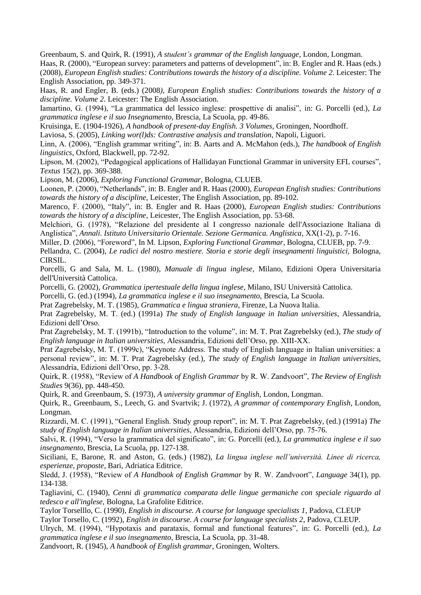Greenbaum, S. and Quirk, R. (1991), *A student's grammar of the English language*, London, Longman.

Haas, R. (2000), "European survey: parameters and patterns of development", in: B. Engler and R. Haas (eds.) (2008)*, European English studies: Contributions towards the history of a discipline. Volume 2*. Leicester: The English Association, pp. 349-371.

Haas, R. and Engler, B. (eds.) (2008*), European English studies: Contributions towards the history of a discipline. Volume 2*. Leicester: The English Association.

Iamartino, G. (1994), "La grammatica del lessico inglese: prospettive di analisi", in: G. Porcelli (ed.), *La grammatica inglese e il suo Insegnamento*, Brescia, La Scuola, pp. 49-86.

Kruisinga, E. (1904-1926), *A handbook of present-day English. 3 Volumes*, Groningen, Noordhoff.

Laviosa, S. (2005), *Linking wor(l)ds: Contrastive analysis and translation*, Napoli, Liguori.

Linn, A. (2006), "English grammar writing", in: B. Aarts and A. McMahon (eds.), *The handbook of English linguistics*, Oxford, Blackwell, pp. 72-92.

Lipson, M. (2002), "Pedagogical applications of Hallidayan Functional Grammar in university EFL courses", *Textus* 15(2), pp. 369-388.

Lipson, M. (2006), *Exploring Functional Grammar*, Bologna, CLUEB.

Loonen, P. (2000), "Netherlands", in: B. Engler and R. Haas (2000), *European English studies: Contributions towards the history of a discipline*, Leicester, The English Association, pp. 89-102.

Marenco, F. (2000), "Italy", in: B. Engler and R. Haas (2000), *European English studies: Contributions towards the history of a discipline*, Leicester, The English Association, pp. 53-68.

Melchiori, G. (1978), "Relazione del presidente al I congresso nazionale dell'Associazione Italiana di Anglistica", *Annali. Istituto Universitario Orientale. Sezione Germanica. Anglistica*, XX(1-2), p. 7-16.

Miller, D. (2006), "Foreword", In M. Lipson, *Exploring Functional Grammar*, Bologna, CLUEB, pp. 7-9.

Pellandra, C. (2004), *Le radici del nostro mestiere. Storia e storie degli insegnamenti linguistici,* Bologna, CIRSIL.

Porcelli, G and Sala, M. L. (1980), *Manuale di lingua inglese*, Milano, Edizioni Opera Universitaria dell'Università Cattolica.

Porcelli, G. (2002), *Grammatica ipertestuale della lingua inglese*, Milano, ISU Università Cattolica.

Porcelli, G. (ed.) (1994), *La grammatica inglese e il suo insegnamento*, Brescia, La Scuola.

Prat Zagrebelsky, M. T. (1985), *Grammatica e lingua straniera*, Firenze, La Nuova Italia.

Prat Zagrebelsky, M. T. (ed.) (1991a) *The study of English language in Italian universities*, Alessandria, Edizioni dell'Orso.

Prat Zagrebelsky, M. T. (1991b), "Introduction to the volume", in: M. T. Prat Zagrebelsky (ed.), *The study of English language in Italian universities*, Alessandria, Edizioni dell'Orso, pp. XIII-XX.

Prat Zagrebelsky, M. T. (1999c), "Keynote Address. The study of English language in Italian universities: a personal review", in: M. T. Prat Zagrebelsky (ed.), *The study of English language in Italian universities*, Alessandria, Edizioni dell'Orso, pp. 3-28.

Quirk, R. (1958), "Review of *A Handbook of English Grammar* by R. W. Zandvoort", *The Review of English Studies* 9(36), pp. 448-450.

Quirk, R. and Greenbaum, S. (1973), *A university grammar of English*, London, Longman.

Quirk, R., Greenbaum, S., Leech, G. and Svartvik; J. (1972), *A grammar of contemporary English*, London, Longman.

Rizzardi, M. C. (1991), "General English. Study group report", in: M. T. Prat Zagrebelsky, (ed.) (1991a) *The study of English language in Italian universities*, Alessandria, Edizioni dell'Orso, pp. 75-76.

Salvi, R. (1994), "Verso la grammatica del significato", in: G. Porcelli (ed.), *La grammatica inglese e il suo insegnamento*, Brescia, La Scuola, pp. 127-138.

Siciliani, E, Barone, R. and Aston, G. (eds.) (1982), *La lingua inglese nell'università. Linee di ricerca, esperienze, proposte*, Bari, Adriatica Editrice.

Sledd, J. (1958), "Review of *A Handbook of English Grammar* by R. W. Zandvoort", *Language* 34(1), pp. 134-138.

Tagliavini, C. (1940), *Cenni di grammatica comparata delle lingue germaniche con speciale riguardo al tedesco e all'inglese*, Bologna, La Grafolite Editrice.

Taylor Torselllo, C. (1990), *English in discourse. A course for language specialists 1*, Padova, CLEUP Taylor Torsello, C. (1992), *English in discourse. A course for language specialists 2*, Padova, CLEUP.

Ulrych, M. (1994), "Hypotaxis and parataxis, formal and functional features", in: G. Porcelli (ed.), *La grammatica inglese e il suo insegnamento*, Brescia, La Scuola, pp. 31-48.

Zandvoort, R. (1945), *A handbook of English grammar*, Groningen, Wolters.